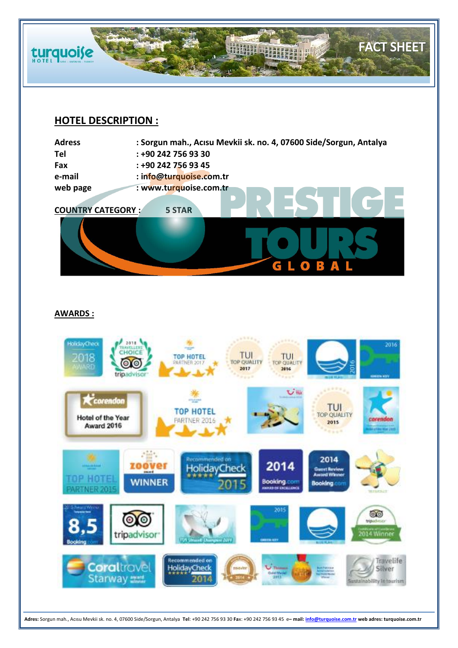

# **HOTEL DESCRIPTION :**

**Adress : Sorgun mah., Acısu Mevkii sk. no. 4, 07600 Side/Sorgun, Antalya Tel : +90 242 756 93 30** 



# **AWARDS :**



**Adres:** Sorgun mah., Acısu Mevkii sk. no. 4, 07600 Side/Sorgun, Antalya **Tel**: +90 242 756 93 30 **Fa**x: +90 242 756 93 45 e**– mail[: info@turquoise.com.tr](mailto:info@turquoise.com.tr) web adres: turquoise.com.tr**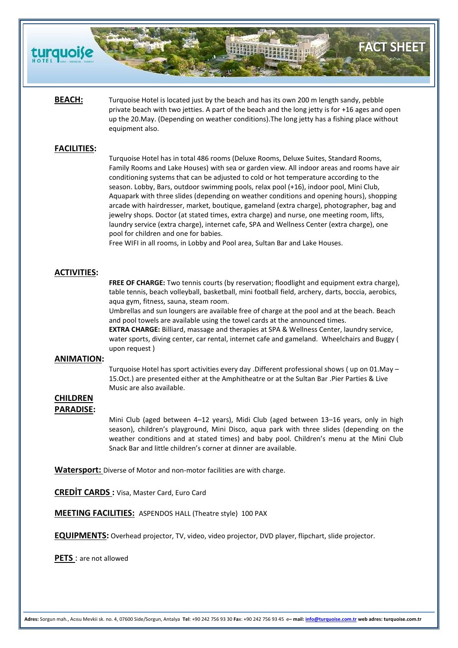

# **FACT SHEET**

**BEACH:** Turquoise Hotel is located just by the beach and has its own 200 m length sandy, pebble private beach with two jetties. A part of the beach and the long jetty is for +16 ages and open up the 20.May. (Depending on weather conditions).The long jetty has a fishing place without equipment also.

# **FACILITIES:**

Turquoise Hotel has in total 486 rooms (Deluxe Rooms, Deluxe Suites, Standard Rooms, Family Rooms and Lake Houses) with sea or garden view. All indoor areas and rooms have air conditioning systems that can be adjusted to cold or hot temperature according to the season. Lobby, Bars, outdoor swimming pools, relax pool (+16), indoor pool, Mini Club, Aquapark with three slides (depending on weather conditions and opening hours), shopping arcade with hairdresser, market, boutique, gameland (extra charge), photographer, bag and jewelry shops. Doctor (at stated times, extra charge) and nurse, one meeting room, lifts, laundry service (extra charge), internet cafe, SPA and Wellness Center (extra charge), one pool for children and one for babies.

Free WIFI in all rooms, in Lobby and Pool area, Sultan Bar and Lake Houses.

# **ACTIVITIES:**

**FREE OF CHARGE:** Two tennis courts (by reservation; floodlight and equipment extra charge), table tennis, beach volleyball, basketball, mini football field, archery, darts, boccia, aerobics, aqua gym, fitness, sauna, steam room.

Umbrellas and sun loungers are available free of charge at the pool and at the beach. Beach and pool towels are available using the towel cards at the announced times.

**EXTRA CHARGE:** Billiard, massage and therapies at SPA & Wellness Center, laundry service, water sports, diving center, car rental, internet cafe and gameland. Wheelchairs and Buggy ( upon request )

#### **ANIMATION:**

Turquoise Hotel has sport activities every day .Different professional shows ( up on 01.May – 15.Oct.) are presented either at the Amphitheatre or at the Sultan Bar .Pier Parties & Live Music are also available.

### **CHILDREN PARADISE:**

Mini Club (aged between 4–12 years), Midi Club (aged between 13–16 years, only in high season), children's playground, Mini Disco, aqua park with three slides (depending on the weather conditions and at stated times) and baby pool. Children's menu at the Mini Club Snack Bar and little children's corner at dinner are available.

**Watersport:** Diverse of Motor and non-motor facilities are with charge.

**CREDİT CARDS :** Visa, Master Card, Euro Card

**MEETING FACILITIES:** ASPENDOS HALL (Theatre style) 100 PAX

**EQUIPMENTS:** Overhead projector, TV, video, video projector, DVD player, flipchart, slide projector.

**PETS** : are not allowed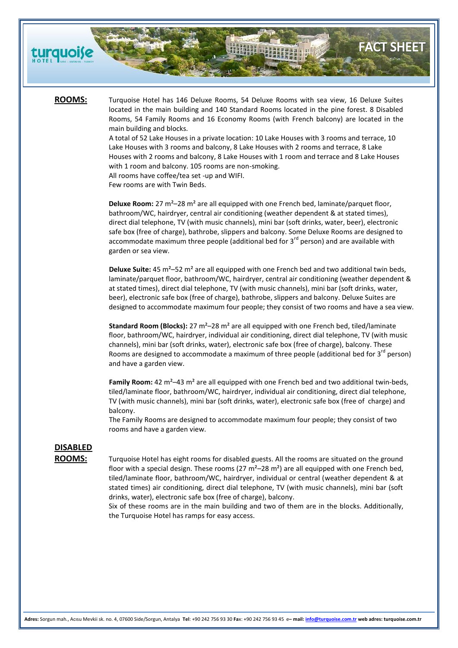

**ROOMS:** Turquoise Hotel has 146 Deluxe Rooms, 54 Deluxe Rooms with sea view, 16 Deluxe Suites located in the main building and 140 Standard Rooms located in the pine forest. 8 Disabled Rooms, 54 Family Rooms and 16 Economy Rooms (with French balcony) are located in the main building and blocks.

**FACT SHEET** 

A total of 52 Lake Houses in a private location: 10 Lake Houses with 3 rooms and terrace, 10 Lake Houses with 3 rooms and balcony, 8 Lake Houses with 2 rooms and terrace, 8 Lake Houses with 2 rooms and balcony, 8 Lake Houses with 1 room and terrace and 8 Lake Houses with 1 room and balcony. 105 rooms are non-smoking. All rooms have coffee/tea set -up and WIFI.

Few rooms are with Twin Beds.

**Deluxe Room:** 27 m²–28 m² are all equipped with one French bed, laminate/parquet floor, bathroom/WC, hairdryer, central air conditioning (weather dependent & at stated times), direct dial telephone, TV (with music channels), mini bar (soft drinks, water, beer), electronic safe box (free of charge), bathrobe, slippers and balcony. Some Deluxe Rooms are designed to accommodate maximum three people (additional bed for  $3<sup>rd</sup>$  person) and are available with garden or sea view.

**Deluxe Suite:** 45 m²–52 m² are all equipped with one French bed and two additional twin beds, laminate/parquet floor, bathroom/WC, hairdryer, central air conditioning (weather dependent & at stated times), direct dial telephone, TV (with music channels), mini bar (soft drinks, water, beer), electronic safe box (free of charge), bathrobe, slippers and balcony. Deluxe Suites are designed to accommodate maximum four people; they consist of two rooms and have a sea view.

**Standard Room (Blocks):** 27 m<sup>2</sup>-28 m<sup>2</sup> are all equipped with one French bed, tiled/laminate floor, bathroom/WC, hairdryer, individual air conditioning, direct dial telephone, TV (with music channels), mini bar (soft drinks, water), electronic safe box (free of charge), balcony. These Rooms are designed to accommodate a maximum of three people (additional bed for  $3^{rd}$  person) and have a garden view.

Family Room: 42 m<sup>2</sup>-43 m<sup>2</sup> are all equipped with one French bed and two additional twin-beds, tiled/laminate floor, bathroom/WC, hairdryer, individual air conditioning, direct dial telephone, TV (with music channels), mini bar (soft drinks, water), electronic safe box (free of charge) and balcony.

The Family Rooms are designed to accommodate maximum four people; they consist of two rooms and have a garden view.

# **DISABLED**

ROOMS: Turquoise Hotel has eight rooms for disabled guests. All the rooms are situated on the ground floor with a special design. These rooms  $(27 \text{ m}^2 - 28 \text{ m}^2)$  are all equipped with one French bed, tiled/laminate floor, bathroom/WC, hairdryer, individual or central (weather dependent & at stated times) air conditioning, direct dial telephone, TV (with music channels), mini bar (soft drinks, water), electronic safe box (free of charge), balcony.

> Six of these rooms are in the main building and two of them are in the blocks. Additionally, the Turquoise Hotel has ramps for easy access.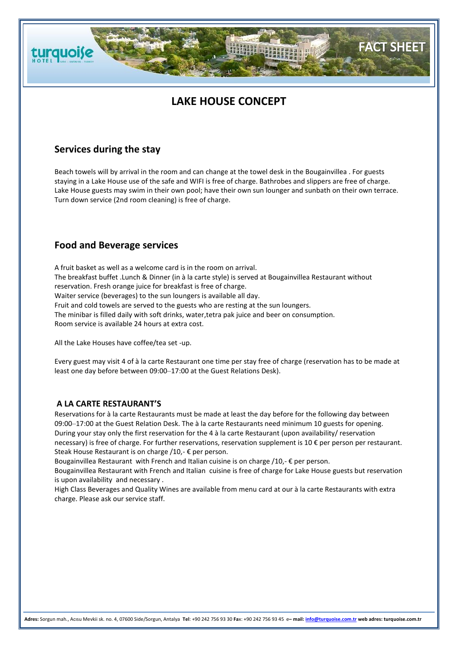# **LAKE HOUSE CONCEPT**

**FACT SHEET** 

# **Services during the stay**

**turquoise** 

Beach towels will by arrival in the room and can change at the towel desk in the Bougainvillea . For guests staying in a Lake House use of the safe and WIFI is free of charge. Bathrobes and slippers are free of charge. Lake House guests may swim in their own pool; have their own sun lounger and sunbath on their own terrace. Turn down service (2nd room cleaning) is free of charge.

# **Food and Beverage services**

A fruit basket as well as a welcome card is in the room on arrival. The breakfast buffet .Lunch & Dinner (in à la carte style) is served at Bougainvillea Restaurant without reservation. Fresh orange juice for breakfast is free of charge. Waiter service (beverages) to the sun loungers is available all day. Fruit and cold towels are served to the guests who are resting at the sun loungers. The minibar is filled daily with soft drinks, water,tetra pak juice and beer on consumption. Room service is available 24 hours at extra cost.

All the Lake Houses have coffee/tea set -up.

Every guest may visit 4 of à la carte Restaurant one time per stay free of charge (reservation has to be made at least one day before between 09:00–17:00 at the Guest Relations Desk).

# **A LA CARTE RESTAURANT'S**

Reservations for à la carte Restaurants must be made at least the day before for the following day between 09:00–17:00 at the Guest Relation Desk. The à la carte Restaurants need minimum 10 guests for opening. During your stay only the first reservation for the 4 à la carte Restaurant (upon availability/ reservation necessary) is free of charge. For further reservations, reservation supplement is 10 € per person per restaurant. Steak House Restaurant is on charge /10,- € per person.

Bougainvillea Restaurant with French and Italian cuisine is on charge  $/10$ ,  $\epsilon$  per person.

Bougainvillea Restaurant with French and Italian cuisine is free of charge for Lake House guests but reservation is upon availability and necessary .

High Class Beverages and Quality Wines are available from menu card at our à la carte Restaurants with extra charge. Please ask our service staff.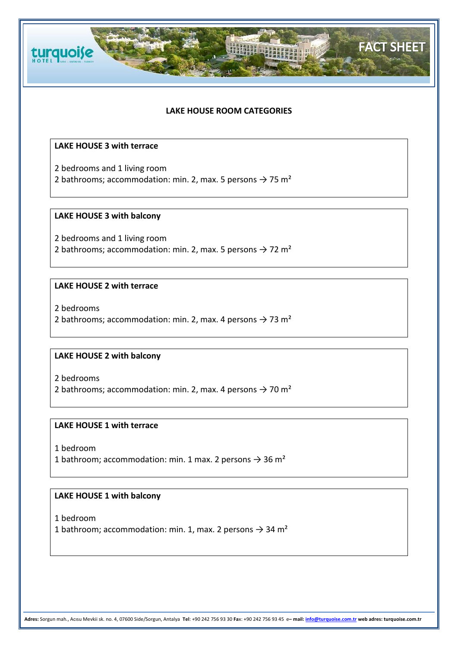

# **LAKE HOUSE ROOM CATEGORIES**

**FACT SHEET** 

# **LAKE HOUSE 3 with terrace**

2 bedrooms and 1 living room 2 bathrooms; accommodation: min. 2, max. 5 persons  $\rightarrow$  75 m<sup>2</sup>

# **LAKE HOUSE 3 with balcony**

2 bedrooms and 1 living room 2 bathrooms; accommodation: min. 2, max. 5 persons  $\rightarrow$  72 m<sup>2</sup>

# **LAKE HOUSE 2 with terrace**

2 bedrooms

2 bathrooms; accommodation: min. 2, max. 4 persons  $\rightarrow$  73 m<sup>2</sup>

# **LAKE HOUSE 2 with balcony**

2 bedrooms

2 bathrooms; accommodation: min. 2, max. 4 persons  $\rightarrow$  70 m<sup>2</sup>

# **LAKE HOUSE 1 with terrace**

1 bedroom

1 bathroom; accommodation: min. 1 max. 2 persons  $\rightarrow$  36 m<sup>2</sup>

# **LAKE HOUSE 1 with balcony**

1 bedroom

1 bathroom; accommodation: min. 1, max. 2 persons  $\rightarrow$  34 m<sup>2</sup>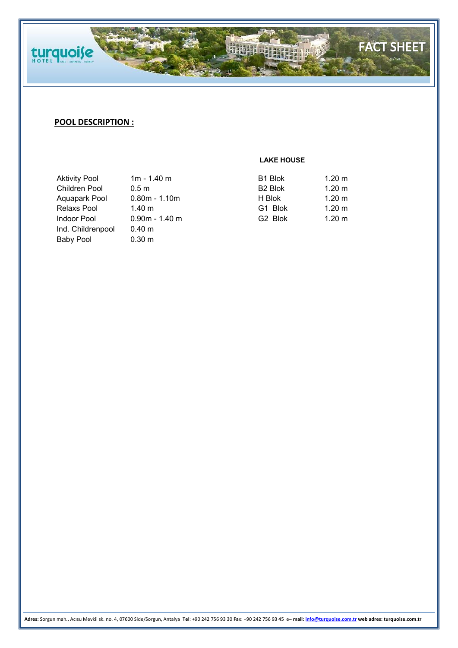

# **POOL DESCRIPTION :**

**LAKE HOUSE**

| <b>Aktivity Pool</b> | $1m - 1.40m$       | B1 Blok             | $1.20 \text{ m}$ |
|----------------------|--------------------|---------------------|------------------|
| <b>Children Pool</b> | 0.5 <sub>m</sub>   | B <sub>2</sub> Blok | $1.20 \text{ m}$ |
| Aquapark Pool        | $0.80m - 1.10m$    | H Blok              | $1.20 \text{ m}$ |
| Relaxs Pool          | 1.40 $m$           | G1 Blok             | $1.20 \text{ m}$ |
| Indoor Pool          | $0.90m - 1.40m$    | G <sub>2</sub> Blok | 1.20 m           |
| Ind. Childrenpool    | 0.40 m             |                     |                  |
| Baby Pool            | $0.30 \; \text{m}$ |                     |                  |

**Adres:** Sorgun mah., Acısu Mevkii sk. no. 4, 07600 Side/Sorgun, Antalya **Tel**: +90 242 756 93 30 **Fa**x: +90 242 756 93 45 e**– mail[: info@turquoise.com.tr](mailto:info@turquoise.com.tr) web adres: turquoise.com.tr**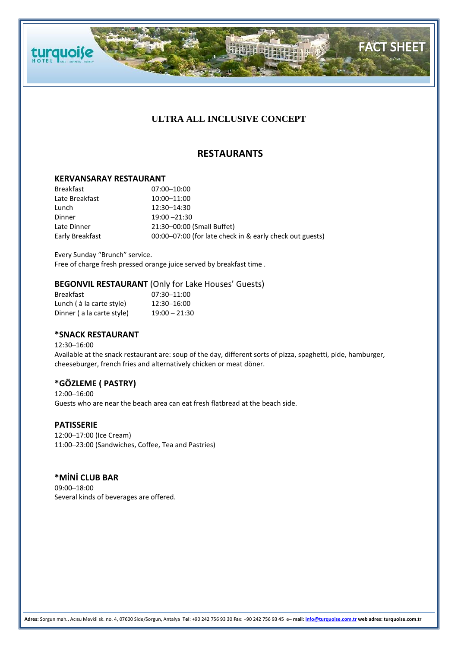

**FACT SHEET** 

# **RESTAURANTS**

### **KERVANSARAY RESTAURANT**

turquoise

Breakfast 07:00–10:00 Late Breakfast 10:00-11:00 Lunch 12:30–14:30 Dinner 19:00 – 21:30 Late Dinner 21:30–00:00 (Small Buffet) Early Breakfast 00:00–07:00 (for late check in & early check out guests)

Every Sunday "Brunch" service. Free of charge fresh pressed orange juice served by breakfast time .

# **BEGONVIL RESTAURANT** (Only for Lake Houses' Guests)

| Breakfast                 | $07:30 - 11:00$ |
|---------------------------|-----------------|
| Lunch (à la carte style)  | 12:30-16:00     |
| Dinner (a la carte style) | $19:00 - 21:30$ |

# **\*SNACK RESTAURANT**

12:30–16:00 Available at the snack restaurant are: soup of the day, different sorts of pizza, spaghetti, pide, hamburger, cheeseburger, french fries and alternatively chicken or meat döner.

# **\*GÖZLEME ( PASTRY)**

12:00–16:00 Guests who are near the beach area can eat fresh flatbread at the beach side.

#### **PATISSERIE**

12:00–17:00 (Ice Cream) 11:00–23:00 (Sandwiches, Coffee, Tea and Pastries)

# **\*MİNİ CLUB BAR**

09:00–18:00 Several kinds of beverages are offered.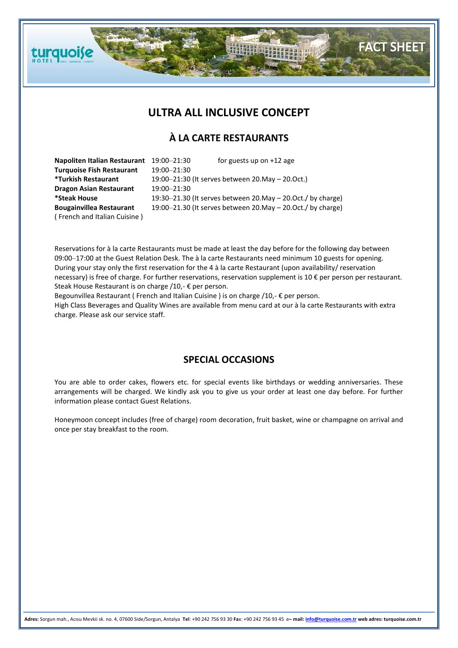# **ULTRA ALL INCLUSIVE CONCEPT**

**FACT SHEET** 

# **À LA CARTE RESTAURANTS**

| Napoliten Italian Restaurant     | 19:00-21:30                                                      | for guests up on $+12$ age |
|----------------------------------|------------------------------------------------------------------|----------------------------|
| <b>Turquoise Fish Restaurant</b> | 19:00-21:30                                                      |                            |
| <b>*Turkish Restaurant</b>       | 19:00–21:30 (It serves between 20. May – 20. Oct.)               |                            |
| <b>Dragon Asian Restaurant</b>   | 19:00-21:30                                                      |                            |
| *Steak House                     | 19:30-21.30 (It serves between 20. May - 20. Oct./ by charge)    |                            |
| <b>Bougainvillea Restaurant</b>  | 19:00-21.30 (It serves between 20. May $-$ 20. Oct. / by charge) |                            |
| (French and Italian Cuisine)     |                                                                  |                            |

**turquoise** 

Reservations for à la carte Restaurants must be made at least the day before for the following day between 09:00–17:00 at the Guest Relation Desk. The à la carte Restaurants need minimum 10 guests for opening. During your stay only the first reservation for the 4 à la carte Restaurant (upon availability/ reservation necessary) is free of charge. For further reservations, reservation supplement is 10 € per person per restaurant. Steak House Restaurant is on charge /10,- € per person.

Begounvillea Restaurant ( French and Italian Cuisine ) is on charge /10,- € per person. High Class Beverages and Quality Wines are available from menu card at our à la carte Restaurants with extra charge. Please ask our service staff.

# **SPECIAL OCCASIONS**

You are able to order cakes, flowers etc. for special events like birthdays or wedding anniversaries. These arrangements will be charged. We kindly ask you to give us your order at least one day before. For further information please contact Guest Relations.

Honeymoon concept includes (free of charge) room decoration, fruit basket, wine or champagne on arrival and once per stay breakfast to the room.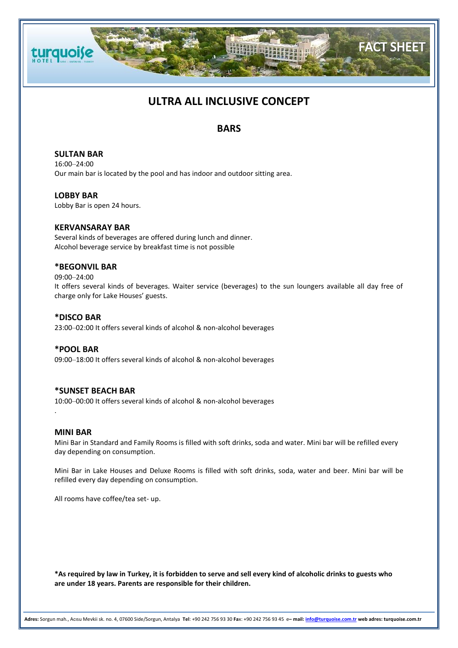

# **ULTRA ALL INCLUSIVE CONCEPT**

# **BARS**

**SULTAN BAR** 16:00–24:00 Our main bar is located by the pool and has indoor and outdoor sitting area.

**LOBBY BAR** Lobby Bar is open 24 hours.

### **KERVANSARAY BAR**

Several kinds of beverages are offered during lunch and dinner. Alcohol beverage service by breakfast time is not possible

# **\*BEGONVIL BAR**

#### 09:00–24:00

It offers several kinds of beverages. Waiter service (beverages) to the sun loungers available all day free of charge only for Lake Houses' guests.

#### **\*DISCO BAR**

23:00–02:00 It offers several kinds of alcohol & non-alcohol beverages

#### **\*POOL BAR**

09:00–18:00 It offers several kinds of alcohol & non-alcohol beverages

# **\*SUNSET BEACH BAR**

10:00–00:00 It offers several kinds of alcohol & non-alcohol beverages

#### **MINI BAR**

.

Mini Bar in Standard and Family Rooms is filled with soft drinks, soda and water. Mini bar will be refilled every day depending on consumption.

Mini Bar in Lake Houses and Deluxe Rooms is filled with soft drinks, soda, water and beer. Mini bar will be refilled every day depending on consumption.

All rooms have coffee/tea set- up.

**\*As required by law in Turkey, it is forbidden to serve and sell every kind of alcoholic drinks to guests who are under 18 years. Parents are responsible for their children.**

**Adres:** Sorgun mah., Acısu Mevkii sk. no. 4, 07600 Side/Sorgun, Antalya **Tel**: +90 242 756 93 30 **Fa**x: +90 242 756 93 45 e**– mail[: info@turquoise.com.tr](mailto:info@turquoise.com.tr) web adres: turquoise.com.tr**